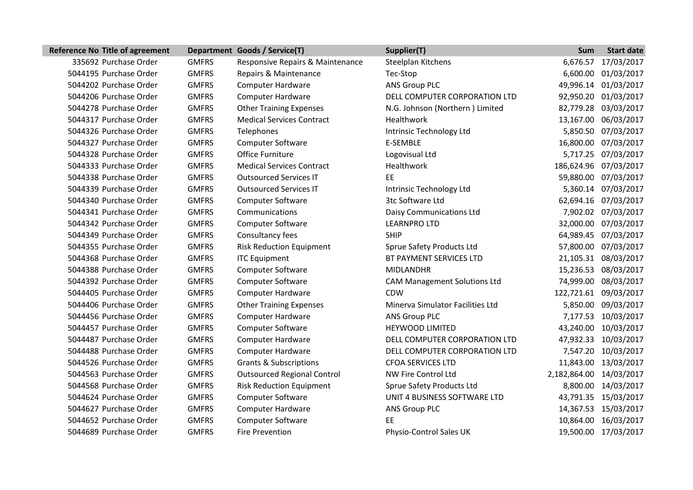| <b>Reference No Title of agreement</b> |              | Department Goods / Service(T)      | Supplier(T)                         | <b>Sum</b>              | <b>Start date</b>     |
|----------------------------------------|--------------|------------------------------------|-------------------------------------|-------------------------|-----------------------|
| 335692 Purchase Order                  | <b>GMFRS</b> | Responsive Repairs & Maintenance   | Steelplan Kitchens                  |                         | 6,676.57 17/03/2017   |
| 5044195 Purchase Order                 | <b>GMFRS</b> | Repairs & Maintenance              | Tec-Stop                            |                         | 6,600.00 01/03/2017   |
| 5044202 Purchase Order                 | <b>GMFRS</b> | <b>Computer Hardware</b>           | <b>ANS Group PLC</b>                |                         | 49,996.14 01/03/2017  |
| 5044206 Purchase Order                 | <b>GMFRS</b> | <b>Computer Hardware</b>           | DELL COMPUTER CORPORATION LTD       |                         | 92,950.20 01/03/2017  |
| 5044278 Purchase Order                 | <b>GMFRS</b> | <b>Other Training Expenses</b>     | N.G. Johnson (Northern) Limited     |                         | 82,779.28 03/03/2017  |
| 5044317 Purchase Order                 | <b>GMFRS</b> | <b>Medical Services Contract</b>   | Healthwork                          |                         | 13,167.00 06/03/2017  |
| 5044326 Purchase Order                 | <b>GMFRS</b> | Telephones                         | Intrinsic Technology Ltd            |                         | 5,850.50 07/03/2017   |
| 5044327 Purchase Order                 | <b>GMFRS</b> | <b>Computer Software</b>           | E-SEMBLE                            |                         | 16,800.00 07/03/2017  |
| 5044328 Purchase Order                 | <b>GMFRS</b> | Office Furniture                   | Logovisual Ltd                      |                         | 5,717.25 07/03/2017   |
| 5044333 Purchase Order                 | <b>GMFRS</b> | <b>Medical Services Contract</b>   | Healthwork                          |                         | 186,624.96 07/03/2017 |
| 5044338 Purchase Order                 | <b>GMFRS</b> | <b>Outsourced Services IT</b>      | FF.                                 |                         | 59,880.00 07/03/2017  |
| 5044339 Purchase Order                 | <b>GMFRS</b> | <b>Outsourced Services IT</b>      | Intrinsic Technology Ltd            |                         | 5,360.14 07/03/2017   |
| 5044340 Purchase Order                 | <b>GMFRS</b> | <b>Computer Software</b>           | 3tc Software Ltd                    |                         | 62,694.16 07/03/2017  |
| 5044341 Purchase Order                 | <b>GMFRS</b> | Communications                     | Daisy Communications Ltd            |                         | 7,902.02 07/03/2017   |
| 5044342 Purchase Order                 | <b>GMFRS</b> | <b>Computer Software</b>           | <b>LEARNPRO LTD</b>                 |                         | 32,000.00 07/03/2017  |
| 5044349 Purchase Order                 | <b>GMFRS</b> | Consultancy fees                   | <b>SHIP</b>                         |                         | 64,989.45 07/03/2017  |
| 5044355 Purchase Order                 | <b>GMFRS</b> | <b>Risk Reduction Equipment</b>    | Sprue Safety Products Ltd           |                         | 57,800.00 07/03/2017  |
| 5044368 Purchase Order                 | <b>GMFRS</b> | <b>ITC Equipment</b>               | BT PAYMENT SERVICES LTD             |                         | 21,105.31 08/03/2017  |
| 5044388 Purchase Order                 | <b>GMFRS</b> | Computer Software                  | <b>MIDLANDHR</b>                    |                         | 15,236.53 08/03/2017  |
| 5044392 Purchase Order                 | <b>GMFRS</b> | Computer Software                  | <b>CAM Management Solutions Ltd</b> |                         | 74,999.00 08/03/2017  |
| 5044405 Purchase Order                 | <b>GMFRS</b> | <b>Computer Hardware</b>           | <b>CDW</b>                          |                         | 122,721.61 09/03/2017 |
| 5044406 Purchase Order                 | <b>GMFRS</b> | <b>Other Training Expenses</b>     | Minerva Simulator Facilities Ltd    |                         | 5,850.00 09/03/2017   |
| 5044456 Purchase Order                 | <b>GMFRS</b> | <b>Computer Hardware</b>           | ANS Group PLC                       |                         | 7,177.53 10/03/2017   |
| 5044457 Purchase Order                 | <b>GMFRS</b> | <b>Computer Software</b>           | <b>HEYWOOD LIMITED</b>              |                         | 43,240.00 10/03/2017  |
| 5044487 Purchase Order                 | <b>GMFRS</b> | <b>Computer Hardware</b>           | DELL COMPUTER CORPORATION LTD       |                         | 47,932.33 10/03/2017  |
| 5044488 Purchase Order                 | <b>GMFRS</b> | <b>Computer Hardware</b>           | DELL COMPUTER CORPORATION LTD       |                         | 7,547.20 10/03/2017   |
| 5044526 Purchase Order                 | <b>GMFRS</b> | <b>Grants &amp; Subscriptions</b>  | <b>CFOA SERVICES LTD</b>            |                         | 11,843.00 13/03/2017  |
| 5044563 Purchase Order                 | <b>GMFRS</b> | <b>Outsourced Regional Control</b> | NW Fire Control Ltd                 | 2,182,864.00 14/03/2017 |                       |
| 5044568 Purchase Order                 | <b>GMFRS</b> | <b>Risk Reduction Equipment</b>    | <b>Sprue Safety Products Ltd</b>    |                         | 8,800.00 14/03/2017   |
| 5044624 Purchase Order                 | <b>GMFRS</b> | Computer Software                  | UNIT 4 BUSINESS SOFTWARE LTD        |                         | 43,791.35 15/03/2017  |
| 5044627 Purchase Order                 | <b>GMFRS</b> | <b>Computer Hardware</b>           | ANS Group PLC                       |                         | 14,367.53 15/03/2017  |
| 5044652 Purchase Order                 | <b>GMFRS</b> | <b>Computer Software</b>           | EE                                  |                         | 10,864.00 16/03/2017  |
| 5044689 Purchase Order                 | <b>GMFRS</b> | <b>Fire Prevention</b>             | Physio-Control Sales UK             |                         | 19,500.00 17/03/2017  |